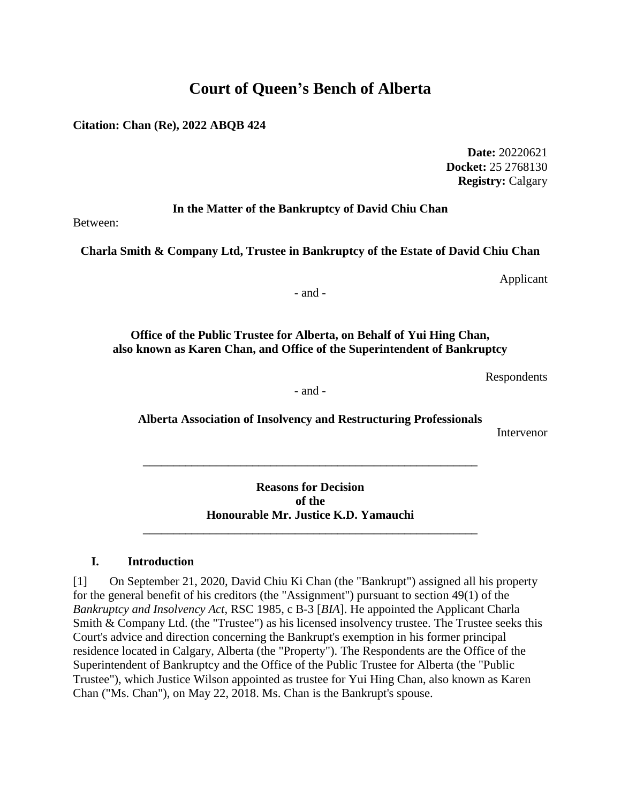# **Court of Queen's Bench of Alberta**

**Citation: Chan (Re), 2022 ABQB 424**

**Date:** 20220621 **Docket:** 25 2768130 **Registry:** Calgary

**In the Matter of the Bankruptcy of David Chiu Chan**

Between:

**Charla Smith & Company Ltd, Trustee in Bankruptcy of the Estate of David Chiu Chan**

Applicant

- and -

**Office of the Public Trustee for Alberta, on Behalf of Yui Hing Chan, also known as Karen Chan, and Office of the Superintendent of Bankruptcy**

Respondents

- and -

**Alberta Association of Insolvency and Restructuring Professionals**

Intervenor

**Reasons for Decision of the Honourable Mr. Justice K.D. Yamauchi**

**\_\_\_\_\_\_\_\_\_\_\_\_\_\_\_\_\_\_\_\_\_\_\_\_\_\_\_\_\_\_\_\_\_\_\_\_\_\_\_\_\_\_\_\_\_\_\_\_\_\_\_\_\_\_\_**

**\_\_\_\_\_\_\_\_\_\_\_\_\_\_\_\_\_\_\_\_\_\_\_\_\_\_\_\_\_\_\_\_\_\_\_\_\_\_\_\_\_\_\_\_\_\_\_\_\_\_\_\_\_\_\_**

#### **I. Introduction**

[1] On September 21, 2020, David Chiu Ki Chan (the "Bankrupt") assigned all his property for the general benefit of his creditors (the "Assignment") pursuant to section 49(1) of the *Bankruptcy and Insolvency Act*, RSC 1985, c B-3 [*BIA*]. He appointed the Applicant Charla Smith & Company Ltd. (the "Trustee") as his licensed insolvency trustee. The Trustee seeks this Court's advice and direction concerning the Bankrupt's exemption in his former principal residence located in Calgary, Alberta (the "Property"). The Respondents are the Office of the Superintendent of Bankruptcy and the Office of the Public Trustee for Alberta (the "Public Trustee"), which Justice Wilson appointed as trustee for Yui Hing Chan, also known as Karen Chan ("Ms. Chan"), on May 22, 2018. Ms. Chan is the Bankrupt's spouse.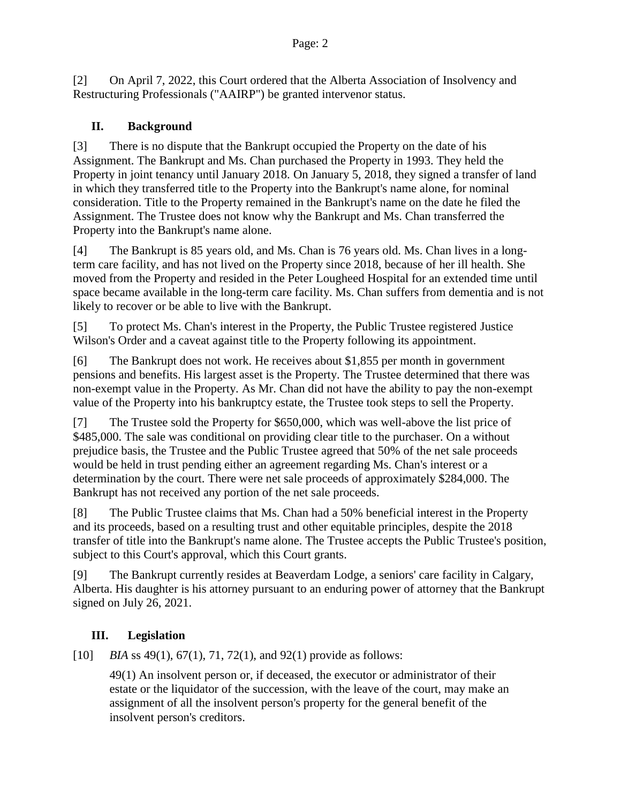[2] On April 7, 2022, this Court ordered that the Alberta Association of Insolvency and Restructuring Professionals ("AAIRP") be granted intervenor status.

## **II. Background**

[3] There is no dispute that the Bankrupt occupied the Property on the date of his Assignment. The Bankrupt and Ms. Chan purchased the Property in 1993. They held the Property in joint tenancy until January 2018. On January 5, 2018, they signed a transfer of land in which they transferred title to the Property into the Bankrupt's name alone, for nominal consideration. Title to the Property remained in the Bankrupt's name on the date he filed the Assignment. The Trustee does not know why the Bankrupt and Ms. Chan transferred the Property into the Bankrupt's name alone.

[4] The Bankrupt is 85 years old, and Ms. Chan is 76 years old. Ms. Chan lives in a longterm care facility, and has not lived on the Property since 2018, because of her ill health. She moved from the Property and resided in the Peter Lougheed Hospital for an extended time until space became available in the long-term care facility. Ms. Chan suffers from dementia and is not likely to recover or be able to live with the Bankrupt.

[5] To protect Ms. Chan's interest in the Property, the Public Trustee registered Justice Wilson's Order and a caveat against title to the Property following its appointment.

[6] The Bankrupt does not work. He receives about \$1,855 per month in government pensions and benefits. His largest asset is the Property. The Trustee determined that there was non-exempt value in the Property. As Mr. Chan did not have the ability to pay the non-exempt value of the Property into his bankruptcy estate, the Trustee took steps to sell the Property.

[7] The Trustee sold the Property for \$650,000, which was well-above the list price of \$485,000. The sale was conditional on providing clear title to the purchaser. On a without prejudice basis, the Trustee and the Public Trustee agreed that 50% of the net sale proceeds would be held in trust pending either an agreement regarding Ms. Chan's interest or a determination by the court. There were net sale proceeds of approximately \$284,000. The Bankrupt has not received any portion of the net sale proceeds.

[8] The Public Trustee claims that Ms. Chan had a 50% beneficial interest in the Property and its proceeds, based on a resulting trust and other equitable principles, despite the 2018 transfer of title into the Bankrupt's name alone. The Trustee accepts the Public Trustee's position, subject to this Court's approval, which this Court grants.

[9] The Bankrupt currently resides at Beaverdam Lodge, a seniors' care facility in Calgary, Alberta. His daughter is his attorney pursuant to an enduring power of attorney that the Bankrupt signed on July 26, 2021.

# **III. Legislation**

[10] *BIA* ss 49(1), 67(1), 71, 72(1), and 92(1) provide as follows:

49(1) An insolvent person or, if deceased, the executor or administrator of their estate or the liquidator of the succession, with the leave of the court, may make an assignment of all the insolvent person's property for the general benefit of the insolvent person's creditors.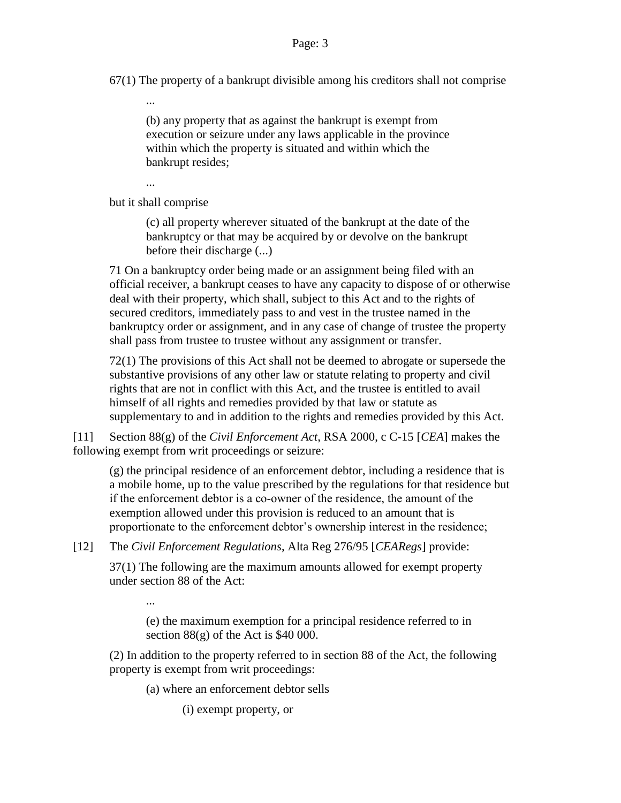67(1) The property of a bankrupt divisible among his creditors shall not comprise

(b) any property that as against the bankrupt is exempt from execution or seizure under any laws applicable in the province within which the property is situated and within which the bankrupt resides;

...

...

...

but it shall comprise

(c) all property wherever situated of the bankrupt at the date of the bankruptcy or that may be acquired by or devolve on the bankrupt before their discharge (...)

71 On a bankruptcy order being made or an assignment being filed with an official receiver, a bankrupt ceases to have any capacity to dispose of or otherwise deal with their property, which shall, subject to this Act and to the rights of secured creditors, immediately pass to and vest in the trustee named in the bankruptcy order or assignment, and in any case of change of trustee the property shall pass from trustee to trustee without any assignment or transfer.

72(1) The provisions of this Act shall not be deemed to abrogate or supersede the substantive provisions of any other law or statute relating to property and civil rights that are not in conflict with this Act, and the trustee is entitled to avail himself of all rights and remedies provided by that law or statute as supplementary to and in addition to the rights and remedies provided by this Act.

[11] Section 88(g) of the *Civil Enforcement Act*, RSA 2000, c C-15 [*CEA*] makes the following exempt from writ proceedings or seizure:

(g) the principal residence of an enforcement debtor, including a residence that is a mobile home, up to the value prescribed by the regulations for that residence but if the enforcement debtor is a co‑owner of the residence, the amount of the exemption allowed under this provision is reduced to an amount that is proportionate to the enforcement debtor's ownership interest in the residence;

[12] The *Civil Enforcement Regulations*, Alta Reg 276/95 [*CEARegs*] provide:

37(1) The following are the maximum amounts allowed for exempt property under section 88 of the Act:

(e) the maximum exemption for a principal residence referred to in section  $88(g)$  of the Act is \$40 000.

(2) In addition to the property referred to in section 88 of the Act, the following property is exempt from writ proceedings:

(a) where an enforcement debtor sells

(i) exempt property, or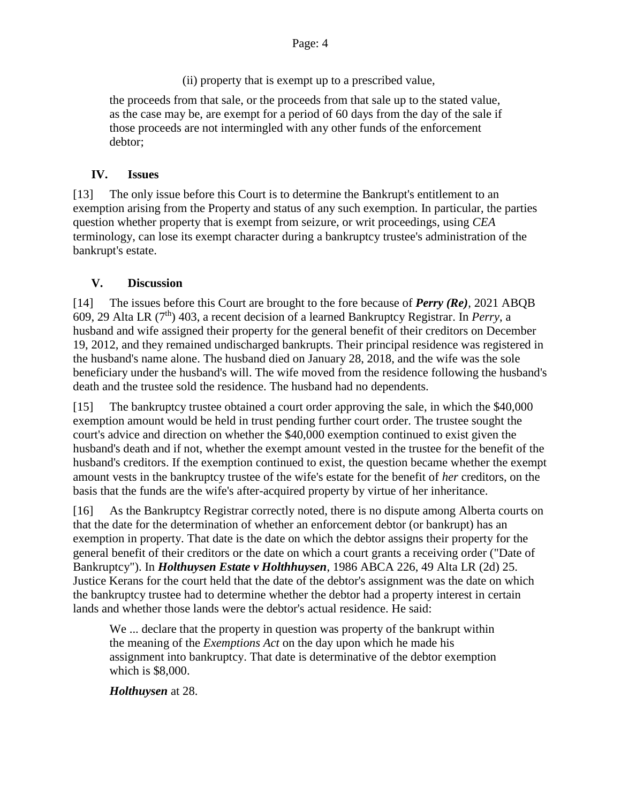(ii) property that is exempt up to a prescribed value,

the proceeds from that sale, or the proceeds from that sale up to the stated value, as the case may be, are exempt for a period of 60 days from the day of the sale if those proceeds are not intermingled with any other funds of the enforcement debtor;

# **IV. Issues**

[13] The only issue before this Court is to determine the Bankrupt's entitlement to an exemption arising from the Property and status of any such exemption. In particular, the parties question whether property that is exempt from seizure, or writ proceedings, using *CEA*  terminology, can lose its exempt character during a bankruptcy trustee's administration of the bankrupt's estate.

# **V. Discussion**

[14] The issues before this Court are brought to the fore because of *Perry (Re)*, 2021 ABQB 609, 29 Alta LR (7th) 403, a recent decision of a learned Bankruptcy Registrar. In *Perry*, a husband and wife assigned their property for the general benefit of their creditors on December 19, 2012, and they remained undischarged bankrupts. Their principal residence was registered in the husband's name alone. The husband died on January 28, 2018, and the wife was the sole beneficiary under the husband's will. The wife moved from the residence following the husband's death and the trustee sold the residence. The husband had no dependents.

[15] The bankruptcy trustee obtained a court order approving the sale, in which the \$40,000 exemption amount would be held in trust pending further court order. The trustee sought the court's advice and direction on whether the \$40,000 exemption continued to exist given the husband's death and if not, whether the exempt amount vested in the trustee for the benefit of the husband's creditors. If the exemption continued to exist, the question became whether the exempt amount vests in the bankruptcy trustee of the wife's estate for the benefit of *her* creditors, on the basis that the funds are the wife's after-acquired property by virtue of her inheritance.

[16] As the Bankruptcy Registrar correctly noted, there is no dispute among Alberta courts on that the date for the determination of whether an enforcement debtor (or bankrupt) has an exemption in property. That date is the date on which the debtor assigns their property for the general benefit of their creditors or the date on which a court grants a receiving order ("Date of Bankruptcy"). In *Holthuysen Estate v Holthhuysen*, 1986 ABCA 226, 49 Alta LR (2d) 25. Justice Kerans for the court held that the date of the debtor's assignment was the date on which the bankruptcy trustee had to determine whether the debtor had a property interest in certain lands and whether those lands were the debtor's actual residence. He said:

We ... declare that the property in question was property of the bankrupt within the meaning of the *Exemptions Act* on the day upon which he made his assignment into bankruptcy. That date is determinative of the debtor exemption which is \$8,000.

*Holthuysen* at 28.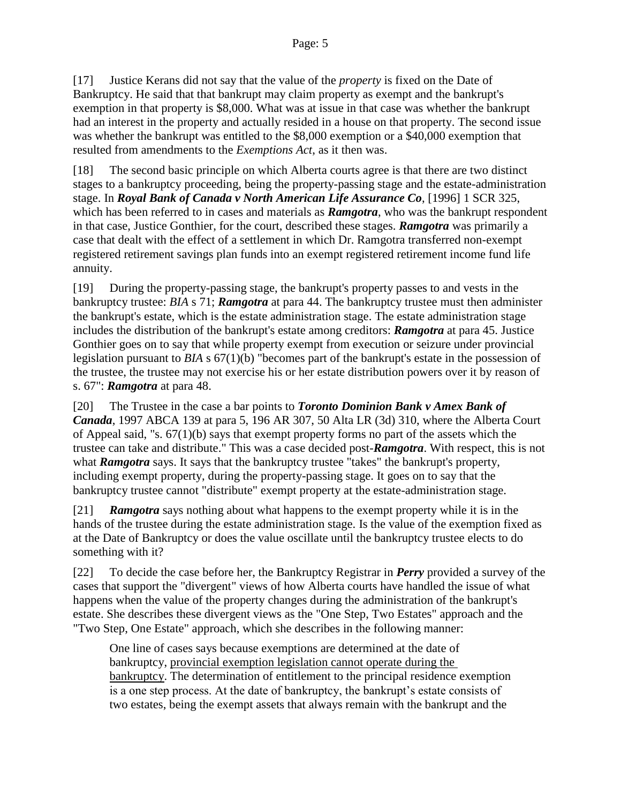[17] Justice Kerans did not say that the value of the *property* is fixed on the Date of Bankruptcy. He said that that bankrupt may claim property as exempt and the bankrupt's exemption in that property is \$8,000. What was at issue in that case was whether the bankrupt had an interest in the property and actually resided in a house on that property. The second issue was whether the bankrupt was entitled to the \$8,000 exemption or a \$40,000 exemption that resulted from amendments to the *Exemptions Act*, as it then was.

[18] The second basic principle on which Alberta courts agree is that there are two distinct stages to a bankruptcy proceeding, being the property-passing stage and the estate-administration stage. In *Royal Bank of Canada v North American Life Assurance Co*, [1996] 1 SCR 325, which has been referred to in cases and materials as *Ramgotra*, who was the bankrupt respondent in that case, Justice Gonthier, for the court, described these stages. *Ramgotra* was primarily a case that dealt with the effect of a settlement in which Dr. Ramgotra transferred non-exempt registered retirement savings plan funds into an exempt registered retirement income fund life annuity.

[19] During the property-passing stage, the bankrupt's property passes to and vests in the bankruptcy trustee: *BIA* s 71; *Ramgotra* at para 44. The bankruptcy trustee must then administer the bankrupt's estate, which is the estate administration stage. The estate administration stage includes the distribution of the bankrupt's estate among creditors: *Ramgotra* at para 45. Justice Gonthier goes on to say that while property exempt from execution or seizure under provincial legislation pursuant to *BIA* s 67(1)(b) "becomes part of the bankrupt's estate in the possession of the trustee, the trustee may not exercise his or her estate distribution powers over it by reason of s. 67": *Ramgotra* at para 48.

[20] The Trustee in the case a bar points to *Toronto Dominion Bank v Amex Bank of Canada*, 1997 ABCA 139 at para 5, 196 AR 307, 50 Alta LR (3d) 310, where the Alberta Court of Appeal said, "s. 67(1)(b) says that exempt property forms no part of the assets which the trustee can take and distribute." This was a case decided post-*Ramgotra*. With respect, this is not what **Ramgotra** says. It says that the bankruptcy trustee "takes" the bankrupt's property, including exempt property, during the property-passing stage. It goes on to say that the bankruptcy trustee cannot "distribute" exempt property at the estate-administration stage.

[21] *Ramgotra* says nothing about what happens to the exempt property while it is in the hands of the trustee during the estate administration stage. Is the value of the exemption fixed as at the Date of Bankruptcy or does the value oscillate until the bankruptcy trustee elects to do something with it?

[22] To decide the case before her, the Bankruptcy Registrar in *Perry* provided a survey of the cases that support the "divergent" views of how Alberta courts have handled the issue of what happens when the value of the property changes during the administration of the bankrupt's estate. She describes these divergent views as the "One Step, Two Estates" approach and the "Two Step, One Estate" approach, which she describes in the following manner:

One line of cases says because exemptions are determined at the date of bankruptcy, provincial exemption legislation cannot operate during the bankruptcy. The determination of entitlement to the principal residence exemption is a one step process. At the date of bankruptcy, the bankrupt's estate consists of two estates, being the exempt assets that always remain with the bankrupt and the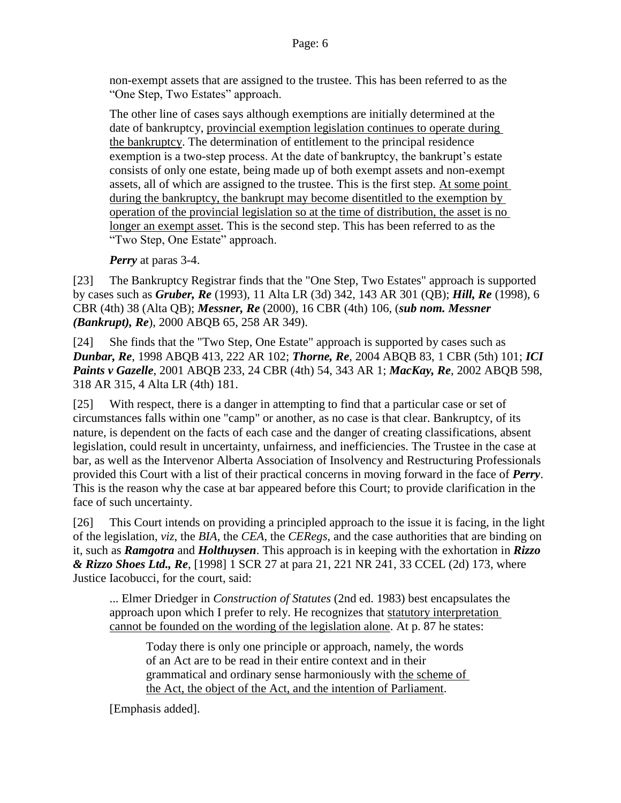non-exempt assets that are assigned to the trustee. This has been referred to as the "One Step, Two Estates" approach.

The other line of cases says although exemptions are initially determined at the date of bankruptcy, provincial exemption legislation continues to operate during the bankruptcy. The determination of entitlement to the principal residence exemption is a two-step process. At the date of bankruptcy, the bankrupt's estate consists of only one estate, being made up of both exempt assets and non-exempt assets, all of which are assigned to the trustee. This is the first step. At some point during the bankruptcy, the bankrupt may become disentitled to the exemption by operation of the provincial legislation so at the time of distribution, the asset is no longer an exempt asset. This is the second step. This has been referred to as the "Two Step, One Estate" approach.

*Perry* at paras 3-4.

[23] The Bankruptcy Registrar finds that the "One Step, Two Estates" approach is supported by cases such as *Gruber, Re* (1993), 11 Alta LR (3d) 342, 143 AR 301 (QB); *Hill, Re* (1998), 6 CBR (4th) 38 (Alta QB); *Messner, Re* (2000), 16 CBR (4th) 106, (*sub nom. Messner (Bankrupt), Re*), 2000 ABQB 65, 258 AR 349).

[24] She finds that the "Two Step, One Estate" approach is supported by cases such as *Dunbar, Re*, 1998 ABQB 413, 222 AR 102; *Thorne, Re*, 2004 ABQB 83, 1 CBR (5th) 101; *ICI Paints v Gazelle*, 2001 ABQB 233, 24 CBR (4th) 54, 343 AR 1; *MacKay, Re*, 2002 ABQB 598, 318 AR 315, 4 Alta LR (4th) 181.

[25] With respect, there is a danger in attempting to find that a particular case or set of circumstances falls within one "camp" or another, as no case is that clear. Bankruptcy, of its nature, is dependent on the facts of each case and the danger of creating classifications, absent legislation, could result in uncertainty, unfairness, and inefficiencies. The Trustee in the case at bar, as well as the Intervenor Alberta Association of Insolvency and Restructuring Professionals provided this Court with a list of their practical concerns in moving forward in the face of *Perry*. This is the reason why the case at bar appeared before this Court; to provide clarification in the face of such uncertainty.

[26] This Court intends on providing a principled approach to the issue it is facing, in the light of the legislation, *viz*, the *BIA,* the *CEA*, the *CERegs*, and the case authorities that are binding on it, such as *Ramgotra* and *Holthuysen*. This approach is in keeping with the exhortation in *Rizzo & Rizzo Shoes Ltd., Re*, [1998] 1 SCR 27 at para 21, 221 NR 241, 33 CCEL (2d) 173, where Justice Iacobucci, for the court, said:

... Elmer Driedger in *Construction of Statutes* (2nd ed. 1983) best encapsulates the approach upon which I prefer to rely. He recognizes that statutory interpretation cannot be founded on the wording of the legislation alone. At p. 87 he states:

Today there is only one principle or approach, namely, the words of an Act are to be read in their entire context and in their grammatical and ordinary sense harmoniously with the scheme of the Act, the object of the Act, and the intention of Parliament.

[Emphasis added].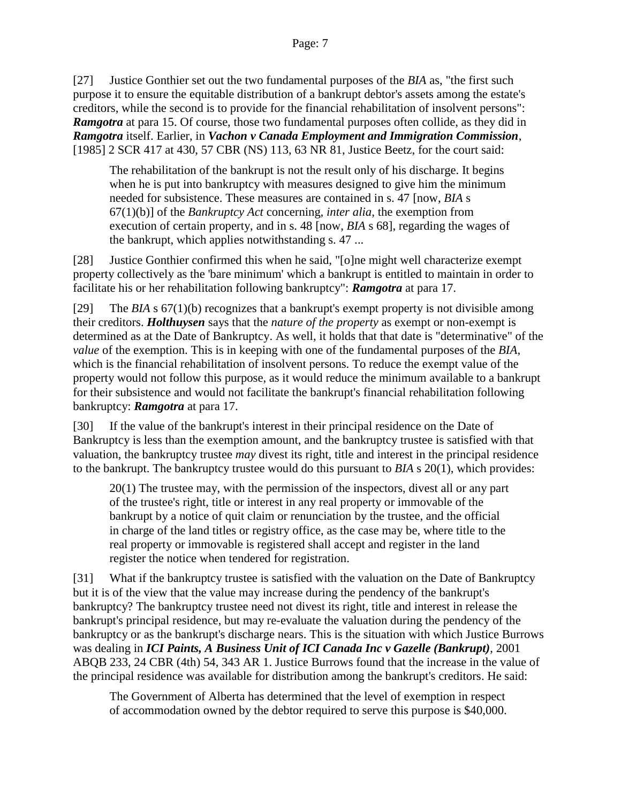[27] Justice Gonthier set out the two fundamental purposes of the *BIA* as, "the first such purpose it to ensure the equitable distribution of a bankrupt debtor's assets among the estate's creditors, while the second is to provide for the financial rehabilitation of insolvent persons": **Ramgotra** at para 15. Of course, those two fundamental purposes often collide, as they did in *Ramgotra* itself. Earlier, in *Vachon v Canada Employment and Immigration Commission*, [1985] 2 SCR 417 at 430, 57 CBR (NS) 113, 63 NR 81, Justice Beetz, for the court said:

The rehabilitation of the bankrupt is not the result only of his discharge. It begins when he is put into bankruptcy with measures designed to give him the minimum needed for subsistence. These measures are contained in s. 47 [now, *BIA* s 67(1)(b)] of the *Bankruptcy Act* concerning*, inter alia*, the exemption from execution of certain property, and in s. 48 [now, *BIA* s 68], regarding the wages of the bankrupt, which applies notwithstanding s. 47 ...

[28] Justice Gonthier confirmed this when he said, "[o]ne might well characterize exempt property collectively as the 'bare minimum' which a bankrupt is entitled to maintain in order to facilitate his or her rehabilitation following bankruptcy": *Ramgotra* at para 17.

[29] The *BIA* s 67(1)(b) recognizes that a bankrupt's exempt property is not divisible among their creditors. *Holthuysen* says that the *nature of the property* as exempt or non-exempt is determined as at the Date of Bankruptcy. As well, it holds that that date is "determinative" of the *value* of the exemption. This is in keeping with one of the fundamental purposes of the *BIA*, which is the financial rehabilitation of insolvent persons. To reduce the exempt value of the property would not follow this purpose, as it would reduce the minimum available to a bankrupt for their subsistence and would not facilitate the bankrupt's financial rehabilitation following bankruptcy: *Ramgotra* at para 17.

[30] If the value of the bankrupt's interest in their principal residence on the Date of Bankruptcy is less than the exemption amount, and the bankruptcy trustee is satisfied with that valuation, the bankruptcy trustee *may* divest its right, title and interest in the principal residence to the bankrupt. The bankruptcy trustee would do this pursuant to *BIA* s 20(1), which provides:

20(1) The trustee may, with the permission of the inspectors, divest all or any part of the trustee's right, title or interest in any real property or immovable of the bankrupt by a notice of quit claim or renunciation by the trustee, and the official in charge of the land titles or registry office, as the case may be, where title to the real property or immovable is registered shall accept and register in the land register the notice when tendered for registration.

[31] What if the bankruptcy trustee is satisfied with the valuation on the Date of Bankruptcy but it is of the view that the value may increase during the pendency of the bankrupt's bankruptcy? The bankruptcy trustee need not divest its right, title and interest in release the bankrupt's principal residence, but may re-evaluate the valuation during the pendency of the bankruptcy or as the bankrupt's discharge nears. This is the situation with which Justice Burrows was dealing in *ICI Paints, A Business Unit of ICI Canada Inc v Gazelle (Bankrupt)*, 2001 ABQB 233, 24 CBR (4th) 54, 343 AR 1. Justice Burrows found that the increase in the value of the principal residence was available for distribution among the bankrupt's creditors. He said:

The Government of Alberta has determined that the level of exemption in respect of accommodation owned by the debtor required to serve this purpose is \$40,000.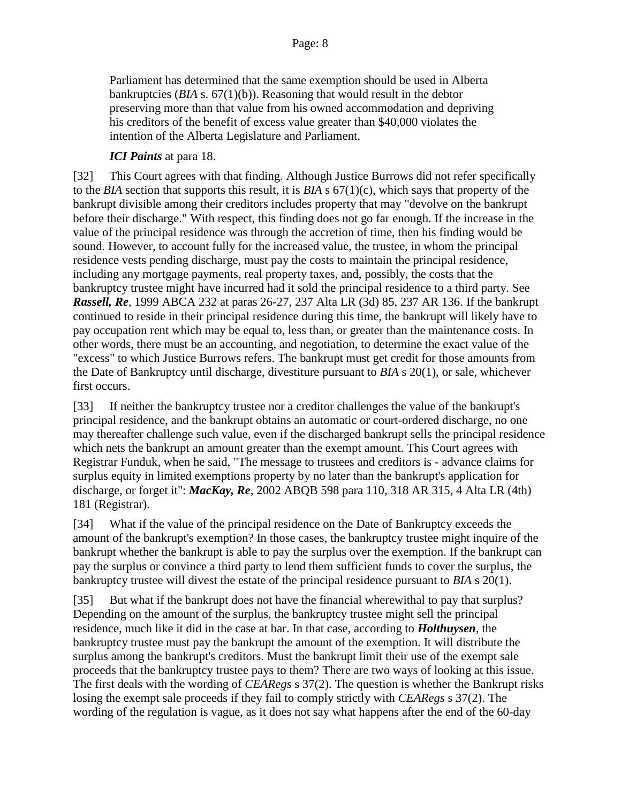Parliament has determined that the same exemption should be used in Alberta bankruptcies (*BIA* s. 67(1)(b)). Reasoning that would result in the debtor preserving more than that value from his owned accommodation and depriving his creditors of the benefit of excess value greater than \$40,000 violates the intention of the Alberta Legislature and Parliament.

#### *ICI Paints* at para 18.

[32] This Court agrees with that finding. Although Justice Burrows did not refer specifically to the *BIA* section that supports this result, it is *BIA* s 67(1)(c), which says that property of the bankrupt divisible among their creditors includes property that may "devolve on the bankrupt before their discharge." With respect, this finding does not go far enough. If the increase in the value of the principal residence was through the accretion of time, then his finding would be sound. However, to account fully for the increased value, the trustee, in whom the principal residence vests pending discharge, must pay the costs to maintain the principal residence, including any mortgage payments, real property taxes, and, possibly, the costs that the bankruptcy trustee might have incurred had it sold the principal residence to a third party. See *Rassell, Re*, 1999 ABCA 232 at paras 26-27, 237 Alta LR (3d) 85, 237 AR 136. If the bankrupt continued to reside in their principal residence during this time, the bankrupt will likely have to pay occupation rent which may be equal to, less than, or greater than the maintenance costs. In other words, there must be an accounting, and negotiation, to determine the exact value of the "excess" to which Justice Burrows refers. The bankrupt must get credit for those amounts from the Date of Bankruptcy until discharge, divestiture pursuant to *BIA* s 20(1), or sale, whichever first occurs.

[33] If neither the bankruptcy trustee nor a creditor challenges the value of the bankrupt's principal residence, and the bankrupt obtains an automatic or court-ordered discharge, no one may thereafter challenge such value, even if the discharged bankrupt sells the principal residence which nets the bankrupt an amount greater than the exempt amount. This Court agrees with Registrar Funduk, when he said, "The message to trustees and creditors is - advance claims for surplus equity in limited exemptions property by no later than the bankrupt's application for discharge, or forget it": *MacKay, Re*, 2002 ABQB 598 para 110, 318 AR 315, 4 Alta LR (4th) 181 (Registrar).

[34] What if the value of the principal residence on the Date of Bankruptcy exceeds the amount of the bankrupt's exemption? In those cases, the bankruptcy trustee might inquire of the bankrupt whether the bankrupt is able to pay the surplus over the exemption. If the bankrupt can pay the surplus or convince a third party to lend them sufficient funds to cover the surplus, the bankruptcy trustee will divest the estate of the principal residence pursuant to *BIA* s 20(1).

[35] But what if the bankrupt does not have the financial wherewithal to pay that surplus? Depending on the amount of the surplus, the bankruptcy trustee might sell the principal residence, much like it did in the case at bar. In that case, according to *Holthuysen*, the bankruptcy trustee must pay the bankrupt the amount of the exemption. It will distribute the surplus among the bankrupt's creditors. Must the bankrupt limit their use of the exempt sale proceeds that the bankruptcy trustee pays to them? There are two ways of looking at this issue. The first deals with the wording of *CEARegs* s 37(2). The question is whether the Bankrupt risks losing the exempt sale proceeds if they fail to comply strictly with *CEARegs* s 37(2). The wording of the regulation is vague, as it does not say what happens after the end of the 60-day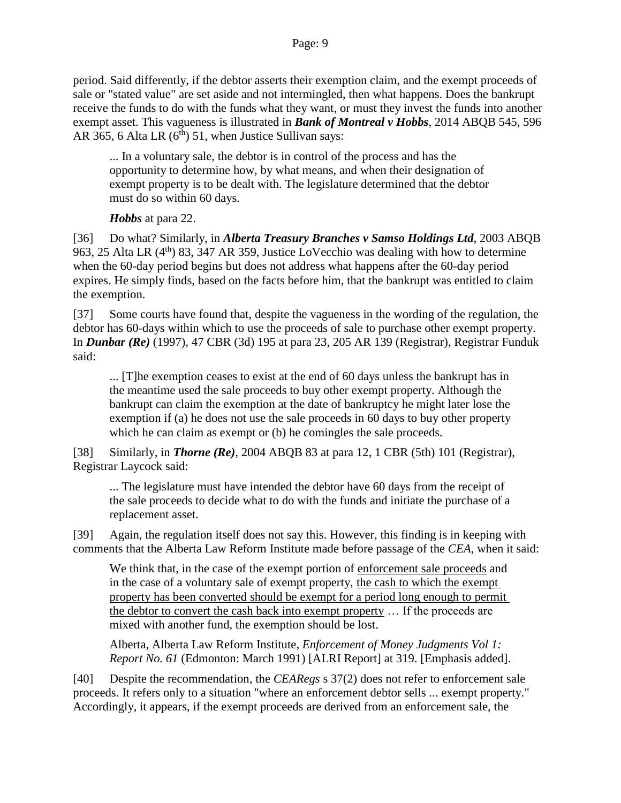period. Said differently, if the debtor asserts their exemption claim, and the exempt proceeds of sale or "stated value" are set aside and not intermingled, then what happens. Does the bankrupt receive the funds to do with the funds what they want, or must they invest the funds into another exempt asset. This vagueness is illustrated in *Bank of Montreal v Hobbs*, 2014 ABQB 545, 596 AR 365, 6 Alta LR  $(6<sup>th</sup>)$  51, when Justice Sullivan says:

... In a voluntary sale, the debtor is in control of the process and has the opportunity to determine how, by what means, and when their designation of exempt property is to be dealt with. The legislature determined that the debtor must do so within 60 days.

*Hobbs* at para 22.

[36] Do what? Similarly, in *Alberta Treasury Branches v Samso Holdings Ltd*, 2003 ABQB 963, 25 Alta LR (4th) 83, 347 AR 359, Justice LoVecchio was dealing with how to determine when the 60-day period begins but does not address what happens after the 60-day period expires. He simply finds, based on the facts before him, that the bankrupt was entitled to claim the exemption.

[37] Some courts have found that, despite the vagueness in the wording of the regulation, the debtor has 60-days within which to use the proceeds of sale to purchase other exempt property. In *Dunbar (Re)* (1997), 47 CBR (3d) 195 at para 23, 205 AR 139 (Registrar), Registrar Funduk said:

... [T]he exemption ceases to exist at the end of 60 days unless the bankrupt has in the meantime used the sale proceeds to buy other exempt property. Although the bankrupt can claim the exemption at the date of bankruptcy he might later lose the exemption if (a) he does not use the sale proceeds in 60 days to buy other property which he can claim as exempt or (b) he comingles the sale proceeds.

[38] Similarly, in *Thorne (Re)*, 2004 ABQB 83 at para 12, 1 CBR (5th) 101 (Registrar), Registrar Laycock said:

... The legislature must have intended the debtor have 60 days from the receipt of the sale proceeds to decide what to do with the funds and initiate the purchase of a replacement asset.

[39] Again, the regulation itself does not say this. However, this finding is in keeping with comments that the Alberta Law Reform Institute made before passage of the *CEA*, when it said:

We think that, in the case of the exempt portion of enforcement sale proceeds and in the case of a voluntary sale of exempt property, the cash to which the exempt property has been converted should be exempt for a period long enough to permit the debtor to convert the cash back into exempt property ... If the proceeds are mixed with another fund, the exemption should be lost.

Alberta, Alberta Law Reform Institute, *Enforcement of Money Judgments Vol 1: Report No. 61* (Edmonton: March 1991) [ALRI Report] at 319. [Emphasis added].

[40] Despite the recommendation, the *CEARegs* s 37(2) does not refer to enforcement sale proceeds. It refers only to a situation "where an enforcement debtor sells ... exempt property." Accordingly, it appears, if the exempt proceeds are derived from an enforcement sale, the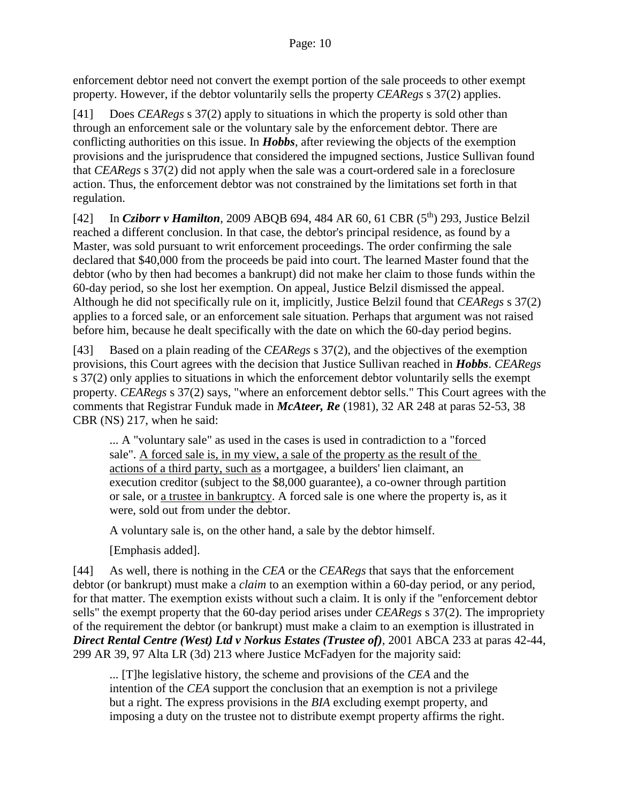enforcement debtor need not convert the exempt portion of the sale proceeds to other exempt property. However, if the debtor voluntarily sells the property *CEARegs* s 37(2) applies.

[41] Does *CEARegs* s 37(2) apply to situations in which the property is sold other than through an enforcement sale or the voluntary sale by the enforcement debtor. There are conflicting authorities on this issue. In *Hobbs*, after reviewing the objects of the exemption provisions and the jurisprudence that considered the impugned sections, Justice Sullivan found that *CEARegs* s 37(2) did not apply when the sale was a court-ordered sale in a foreclosure action. Thus, the enforcement debtor was not constrained by the limitations set forth in that regulation.

[42] In *Cziborr v Hamilton*, 2009 ABQB 694, 484 AR 60, 61 CBR (5<sup>th</sup>) 293, Justice Belzil reached a different conclusion. In that case, the debtor's principal residence, as found by a Master, was sold pursuant to writ enforcement proceedings. The order confirming the sale declared that \$40,000 from the proceeds be paid into court. The learned Master found that the debtor (who by then had becomes a bankrupt) did not make her claim to those funds within the 60-day period, so she lost her exemption. On appeal, Justice Belzil dismissed the appeal. Although he did not specifically rule on it, implicitly, Justice Belzil found that *CEARegs* s 37(2) applies to a forced sale, or an enforcement sale situation. Perhaps that argument was not raised before him, because he dealt specifically with the date on which the 60-day period begins.

[43] Based on a plain reading of the *CEARegs* s 37(2), and the objectives of the exemption provisions, this Court agrees with the decision that Justice Sullivan reached in *Hobbs*. *CEARegs*  s 37(2) only applies to situations in which the enforcement debtor voluntarily sells the exempt property. *CEARegs* s 37(2) says, "where an enforcement debtor sells." This Court agrees with the comments that Registrar Funduk made in *McAteer, Re* (1981), 32 AR 248 at paras 52-53, 38 CBR (NS) 217, when he said:

... A "voluntary sale" as used in the cases is used in contradiction to a "forced sale". A forced sale is, in my view, a sale of the property as the result of the actions of a third party, such as a mortgagee, a builders' lien claimant, an execution creditor (subject to the \$8,000 guarantee), a co-owner through partition or sale, or a trustee in bankruptcy. A forced sale is one where the property is, as it were, sold out from under the debtor.

A voluntary sale is, on the other hand, a sale by the debtor himself.

[Emphasis added].

[44] As well, there is nothing in the *CEA* or the *CEARegs* that says that the enforcement debtor (or bankrupt) must make a *claim* to an exemption within a 60-day period, or any period, for that matter. The exemption exists without such a claim. It is only if the "enforcement debtor sells" the exempt property that the 60-day period arises under *CEARegs* s 37(2). The impropriety of the requirement the debtor (or bankrupt) must make a claim to an exemption is illustrated in *Direct Rental Centre (West) Ltd v Norkus Estates (Trustee of)*, 2001 ABCA 233 at paras 42-44, 299 AR 39, 97 Alta LR (3d) 213 where Justice McFadyen for the majority said:

... [T]he legislative history, the scheme and provisions of the *CEA* and the intention of the *CEA* support the conclusion that an exemption is not a privilege but a right. The express provisions in the *BIA* excluding exempt property, and imposing a duty on the trustee not to distribute exempt property affirms the right.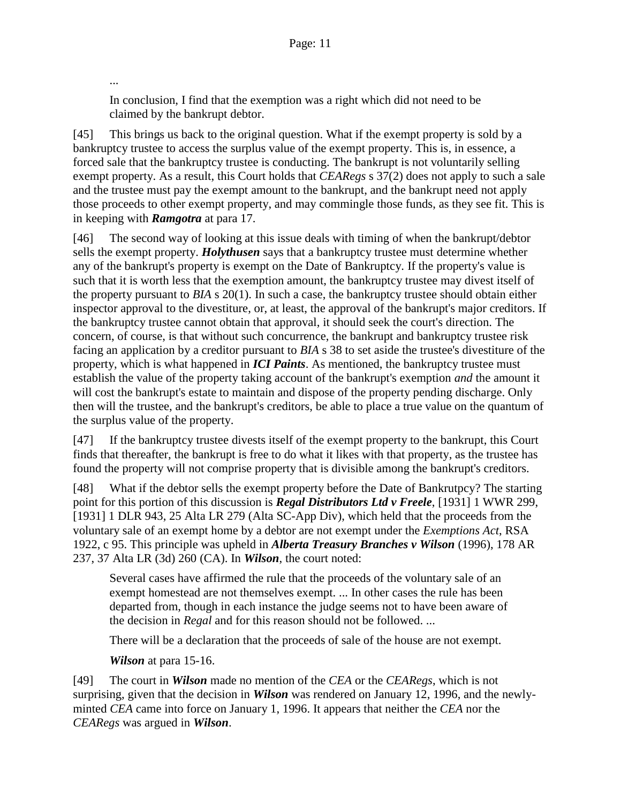In conclusion, I find that the exemption was a right which did not need to be claimed by the bankrupt debtor.

[45] This brings us back to the original question. What if the exempt property is sold by a bankruptcy trustee to access the surplus value of the exempt property. This is, in essence, a forced sale that the bankruptcy trustee is conducting. The bankrupt is not voluntarily selling exempt property. As a result, this Court holds that *CEARegs* s 37(2) does not apply to such a sale and the trustee must pay the exempt amount to the bankrupt, and the bankrupt need not apply those proceeds to other exempt property, and may commingle those funds, as they see fit. This is in keeping with *Ramgotra* at para 17.

[46] The second way of looking at this issue deals with timing of when the bankrupt/debtor sells the exempt property. *Holythusen* says that a bankruptcy trustee must determine whether any of the bankrupt's property is exempt on the Date of Bankruptcy. If the property's value is such that it is worth less that the exemption amount, the bankruptcy trustee may divest itself of the property pursuant to *BIA* s 20(1). In such a case, the bankruptcy trustee should obtain either inspector approval to the divestiture, or, at least, the approval of the bankrupt's major creditors. If the bankruptcy trustee cannot obtain that approval, it should seek the court's direction. The concern, of course, is that without such concurrence, the bankrupt and bankruptcy trustee risk facing an application by a creditor pursuant to *BIA* s 38 to set aside the trustee's divestiture of the property, which is what happened in *ICI Paints*. As mentioned, the bankruptcy trustee must establish the value of the property taking account of the bankrupt's exemption *and* the amount it will cost the bankrupt's estate to maintain and dispose of the property pending discharge. Only then will the trustee, and the bankrupt's creditors, be able to place a true value on the quantum of the surplus value of the property.

[47] If the bankruptcy trustee divests itself of the exempt property to the bankrupt, this Court finds that thereafter, the bankrupt is free to do what it likes with that property, as the trustee has found the property will not comprise property that is divisible among the bankrupt's creditors.

[48] What if the debtor sells the exempt property before the Date of Bankrutpcy? The starting point for this portion of this discussion is *Regal Distributors Ltd v Freele*, [1931] 1 WWR 299, [1931] 1 DLR 943, 25 Alta LR 279 (Alta SC-App Div), which held that the proceeds from the voluntary sale of an exempt home by a debtor are not exempt under the *Exemptions Act*, RSA 1922, c 95. This principle was upheld in *Alberta Treasury Branches v Wilson* (1996), 178 AR 237, 37 Alta LR (3d) 260 (CA). In *Wilson*, the court noted:

Several cases have affirmed the rule that the proceeds of the voluntary sale of an exempt homestead are not themselves exempt. ... In other cases the rule has been departed from, though in each instance the judge seems not to have been aware of the decision in *Regal* and for this reason should not be followed. ...

There will be a declaration that the proceeds of sale of the house are not exempt.

*Wilson* at para 15-16.

...

[49] The court in *Wilson* made no mention of the *CEA* or the *CEARegs*, which is not surprising, given that the decision in *Wilson* was rendered on January 12, 1996, and the newlyminted *CEA* came into force on January 1, 1996. It appears that neither the *CEA* nor the *CEARegs* was argued in *Wilson*.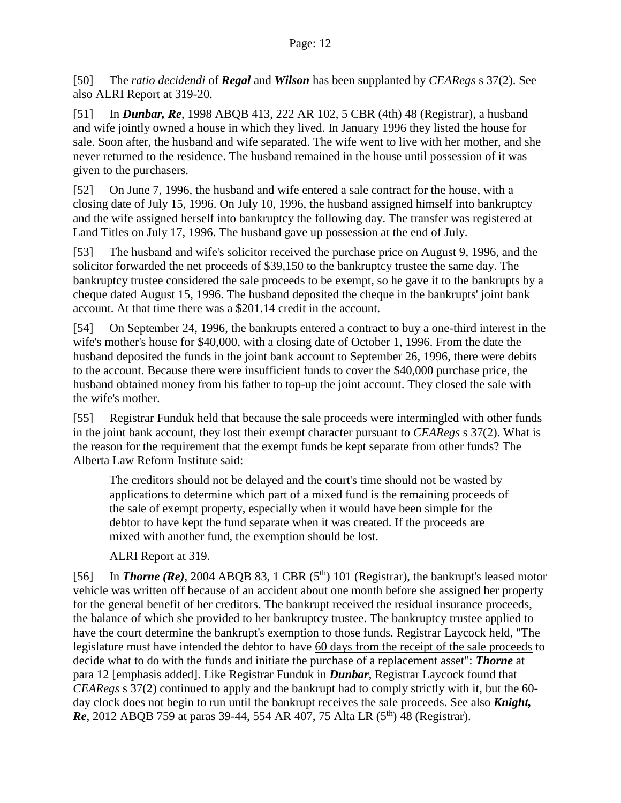[50] The *ratio decidendi* of *Regal* and *Wilson* has been supplanted by *CEARegs* s 37(2). See also ALRI Report at 319-20.

[51] In *Dunbar, Re*, 1998 ABQB 413, 222 AR 102, 5 CBR (4th) 48 (Registrar), a husband and wife jointly owned a house in which they lived. In January 1996 they listed the house for sale. Soon after, the husband and wife separated. The wife went to live with her mother, and she never returned to the residence. The husband remained in the house until possession of it was given to the purchasers.

[52] On June 7, 1996, the husband and wife entered a sale contract for the house, with a closing date of July 15, 1996. On July 10, 1996, the husband assigned himself into bankruptcy and the wife assigned herself into bankruptcy the following day. The transfer was registered at Land Titles on July 17, 1996. The husband gave up possession at the end of July.

[53] The husband and wife's solicitor received the purchase price on August 9, 1996, and the solicitor forwarded the net proceeds of \$39,150 to the bankruptcy trustee the same day. The bankruptcy trustee considered the sale proceeds to be exempt, so he gave it to the bankrupts by a cheque dated August 15, 1996. The husband deposited the cheque in the bankrupts' joint bank account. At that time there was a \$201.14 credit in the account.

[54] On September 24, 1996, the bankrupts entered a contract to buy a one-third interest in the wife's mother's house for \$40,000, with a closing date of October 1, 1996. From the date the husband deposited the funds in the joint bank account to September 26, 1996, there were debits to the account. Because there were insufficient funds to cover the \$40,000 purchase price, the husband obtained money from his father to top-up the joint account. They closed the sale with the wife's mother.

[55] Registrar Funduk held that because the sale proceeds were intermingled with other funds in the joint bank account, they lost their exempt character pursuant to *CEARegs* s 37(2). What is the reason for the requirement that the exempt funds be kept separate from other funds? The Alberta Law Reform Institute said:

The creditors should not be delayed and the court's time should not be wasted by applications to determine which part of a mixed fund is the remaining proceeds of the sale of exempt property, especially when it would have been simple for the debtor to have kept the fund separate when it was created. If the proceeds are mixed with another fund, the exemption should be lost.

ALRI Report at 319.

[56] In *Thorne* ( $\text{Re}$ ), 2004 ABQB 83, 1 CBR ( $5^{\text{th}}$ ) 101 (Registrar), the bankrupt's leased motor vehicle was written off because of an accident about one month before she assigned her property for the general benefit of her creditors. The bankrupt received the residual insurance proceeds, the balance of which she provided to her bankruptcy trustee. The bankruptcy trustee applied to have the court determine the bankrupt's exemption to those funds. Registrar Laycock held, "The legislature must have intended the debtor to have 60 days from the receipt of the sale proceeds to decide what to do with the funds and initiate the purchase of a replacement asset": *Thorne* at para 12 [emphasis added]. Like Registrar Funduk in *Dunbar*, Registrar Laycock found that *CEARegs* s 37(2) continued to apply and the bankrupt had to comply strictly with it, but the 60 day clock does not begin to run until the bankrupt receives the sale proceeds. See also *Knight, Re*, 2012 ABQB 759 at paras 39-44, 554 AR 407, 75 Alta LR (5<sup>th</sup>) 48 (Registrar).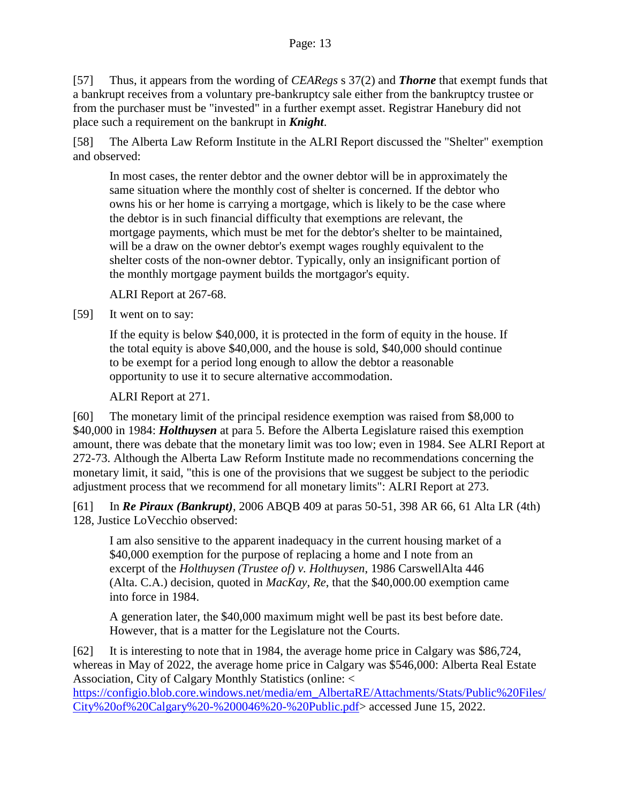[57] Thus, it appears from the wording of *CEARegs* s 37(2) and *Thorne* that exempt funds that a bankrupt receives from a voluntary pre-bankruptcy sale either from the bankruptcy trustee or from the purchaser must be "invested" in a further exempt asset. Registrar Hanebury did not place such a requirement on the bankrupt in *Knight*.

[58] The Alberta Law Reform Institute in the ALRI Report discussed the "Shelter" exemption and observed:

In most cases, the renter debtor and the owner debtor will be in approximately the same situation where the monthly cost of shelter is concerned. If the debtor who owns his or her home is carrying a mortgage, which is likely to be the case where the debtor is in such financial difficulty that exemptions are relevant, the mortgage payments, which must be met for the debtor's shelter to be maintained, will be a draw on the owner debtor's exempt wages roughly equivalent to the shelter costs of the non-owner debtor. Typically, only an insignificant portion of the monthly mortgage payment builds the mortgagor's equity.

ALRI Report at 267-68.

[59] It went on to say:

If the equity is below \$40,000, it is protected in the form of equity in the house. If the total equity is above \$40,000, and the house is sold, \$40,000 should continue to be exempt for a period long enough to allow the debtor a reasonable opportunity to use it to secure alternative accommodation.

ALRI Report at 271.

[60] The monetary limit of the principal residence exemption was raised from \$8,000 to \$40,000 in 1984: *Holthuysen* at para 5. Before the Alberta Legislature raised this exemption amount, there was debate that the monetary limit was too low; even in 1984. See ALRI Report at 272-73. Although the Alberta Law Reform Institute made no recommendations concerning the monetary limit, it said, "this is one of the provisions that we suggest be subject to the periodic adjustment process that we recommend for all monetary limits": ALRI Report at 273.

[61] In *Re Piraux (Bankrupt)*, 2006 ABQB 409 at paras 50-51, 398 AR 66, 61 Alta LR (4th) 128, Justice LoVecchio observed:

I am also sensitive to the apparent inadequacy in the current housing market of a \$40,000 exemption for the purpose of replacing a home and I note from an excerpt of the *Holthuysen (Trustee of) v. Holthuysen*, 1986 CarswellAlta 446 (Alta. C.A.) decision, quoted in *MacKay, Re*, that the \$40,000.00 exemption came into force in 1984.

A generation later, the \$40,000 maximum might well be past its best before date. However, that is a matter for the Legislature not the Courts.

[62] It is interesting to note that in 1984, the average home price in Calgary was \$86,724, whereas in May of 2022, the average home price in Calgary was \$546,000: Alberta Real Estate Association, City of Calgary Monthly Statistics (online: <

[https://configio.blob.core.windows.net/media/em\\_AlbertaRE/Attachments/Stats/Public%20Files/](https://configio.blob.core.windows.net/media/em_AlbertaRE/Attachments/Stats/Public%20Files/City%20of%20Calgary%20-%200046%20-%20Public.pdf) [City%20of%20Calgary%20-%200046%20-%20Public.pdf>](https://configio.blob.core.windows.net/media/em_AlbertaRE/Attachments/Stats/Public%20Files/City%20of%20Calgary%20-%200046%20-%20Public.pdf) accessed June 15, 2022.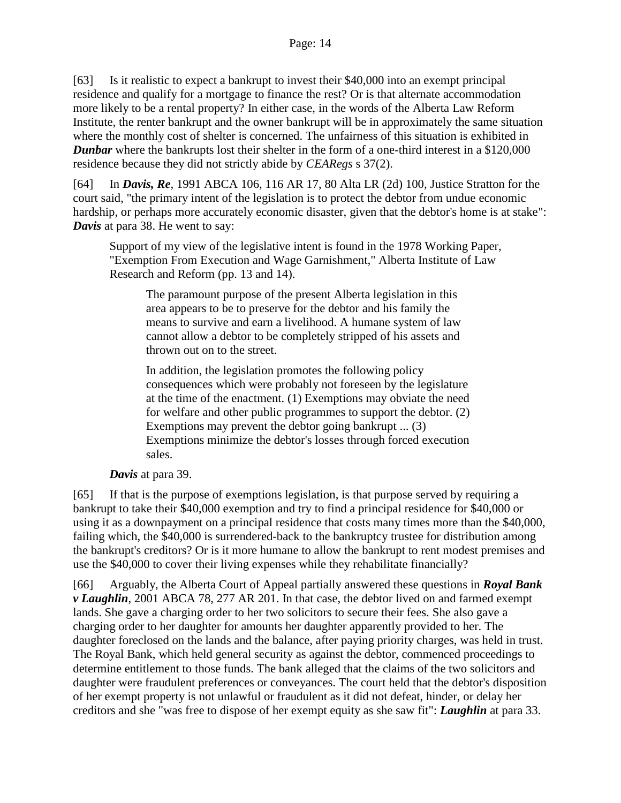[63] Is it realistic to expect a bankrupt to invest their \$40,000 into an exempt principal residence and qualify for a mortgage to finance the rest? Or is that alternate accommodation more likely to be a rental property? In either case, in the words of the Alberta Law Reform Institute, the renter bankrupt and the owner bankrupt will be in approximately the same situation where the monthly cost of shelter is concerned. The unfairness of this situation is exhibited in **Dunbar** where the bankrupts lost their shelter in the form of a one-third interest in a \$120,000 residence because they did not strictly abide by *CEARegs* s 37(2).

[64] In *Davis, Re*, 1991 ABCA 106, 116 AR 17, 80 Alta LR (2d) 100, Justice Stratton for the court said, "the primary intent of the legislation is to protect the debtor from undue economic hardship, or perhaps more accurately economic disaster, given that the debtor's home is at stake": *Davis* at para 38. He went to say:

Support of my view of the legislative intent is found in the 1978 Working Paper, "Exemption From Execution and Wage Garnishment," Alberta Institute of Law Research and Reform (pp. 13 and 14).

The paramount purpose of the present Alberta legislation in this area appears to be to preserve for the debtor and his family the means to survive and earn a livelihood. A humane system of law cannot allow a debtor to be completely stripped of his assets and thrown out on to the street.

In addition, the legislation promotes the following policy consequences which were probably not foreseen by the legislature at the time of the enactment. (1) Exemptions may obviate the need for welfare and other public programmes to support the debtor. (2) Exemptions may prevent the debtor going bankrupt ... (3) Exemptions minimize the debtor's losses through forced execution sales.

*Davis* at para 39.

[65] If that is the purpose of exemptions legislation, is that purpose served by requiring a bankrupt to take their \$40,000 exemption and try to find a principal residence for \$40,000 or using it as a downpayment on a principal residence that costs many times more than the \$40,000, failing which, the \$40,000 is surrendered-back to the bankruptcy trustee for distribution among the bankrupt's creditors? Or is it more humane to allow the bankrupt to rent modest premises and use the \$40,000 to cover their living expenses while they rehabilitate financially?

[66] Arguably, the Alberta Court of Appeal partially answered these questions in *Royal Bank v Laughlin*, 2001 ABCA 78, 277 AR 201. In that case, the debtor lived on and farmed exempt lands. She gave a charging order to her two solicitors to secure their fees. She also gave a charging order to her daughter for amounts her daughter apparently provided to her. The daughter foreclosed on the lands and the balance, after paying priority charges, was held in trust. The Royal Bank, which held general security as against the debtor, commenced proceedings to determine entitlement to those funds. The bank alleged that the claims of the two solicitors and daughter were fraudulent preferences or conveyances. The court held that the debtor's disposition of her exempt property is not unlawful or fraudulent as it did not defeat, hinder, or delay her creditors and she "was free to dispose of her exempt equity as she saw fit": *Laughlin* at para 33.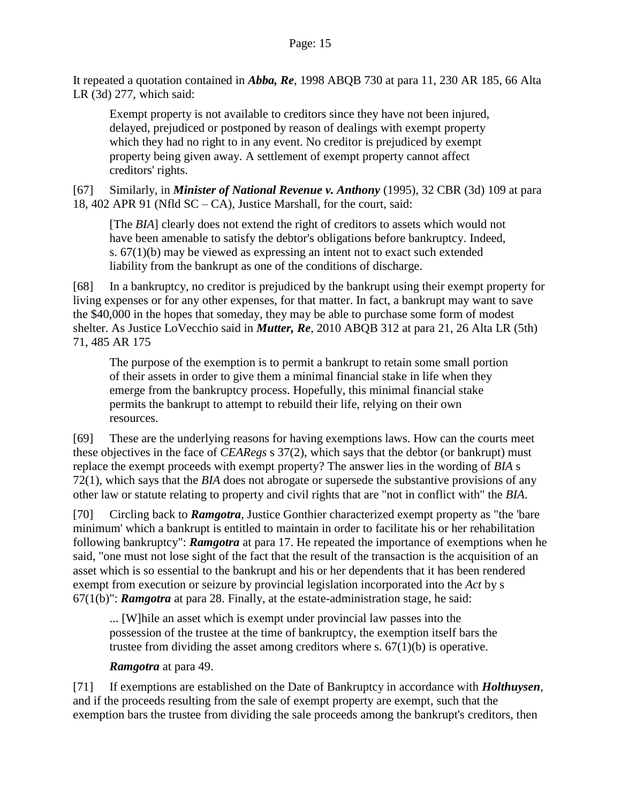It repeated a quotation contained in *Abba, Re*, 1998 ABQB 730 at para 11, 230 AR 185, 66 Alta LR (3d) 277, which said:

Exempt property is not available to creditors since they have not been injured, delayed, prejudiced or postponed by reason of dealings with exempt property which they had no right to in any event. No creditor is prejudiced by exempt property being given away. A settlement of exempt property cannot affect creditors' rights.

[67] Similarly, in *Minister of National Revenue v. Anthony* (1995), 32 CBR (3d) 109 at para 18, 402 APR 91 (Nfld SC – CA), Justice Marshall, for the court, said:

[The *BIA*] clearly does not extend the right of creditors to assets which would not have been amenable to satisfy the debtor's obligations before bankruptcy. Indeed, s. 67(1)(b) may be viewed as expressing an intent not to exact such extended liability from the bankrupt as one of the conditions of discharge.

[68] In a bankruptcy, no creditor is prejudiced by the bankrupt using their exempt property for living expenses or for any other expenses, for that matter. In fact, a bankrupt may want to save the \$40,000 in the hopes that someday, they may be able to purchase some form of modest shelter. As Justice LoVecchio said in *Mutter, Re*, 2010 ABQB 312 at para 21, 26 Alta LR (5th) 71, 485 AR 175

The purpose of the exemption is to permit a bankrupt to retain some small portion of their assets in order to give them a minimal financial stake in life when they emerge from the bankruptcy process. Hopefully, this minimal financial stake permits the bankrupt to attempt to rebuild their life, relying on their own resources.

[69] These are the underlying reasons for having exemptions laws. How can the courts meet these objectives in the face of *CEARegs* s 37(2), which says that the debtor (or bankrupt) must replace the exempt proceeds with exempt property? The answer lies in the wording of *BIA* s 72(1), which says that the *BIA* does not abrogate or supersede the substantive provisions of any other law or statute relating to property and civil rights that are "not in conflict with" the *BIA*.

[70] Circling back to *Ramgotra*, Justice Gonthier characterized exempt property as "the 'bare minimum' which a bankrupt is entitled to maintain in order to facilitate his or her rehabilitation following bankruptcy": *Ramgotra* at para 17. He repeated the importance of exemptions when he said, "one must not lose sight of the fact that the result of the transaction is the acquisition of an asset which is so essential to the bankrupt and his or her dependents that it has been rendered exempt from execution or seizure by provincial legislation incorporated into the *Act* by s 67(1(b)": *Ramgotra* at para 28. Finally, at the estate-administration stage, he said:

... [W]hile an asset which is exempt under provincial law passes into the possession of the trustee at the time of bankruptcy, the exemption itself bars the trustee from dividing the asset among creditors where s.  $67(1)(b)$  is operative.

## *Ramgotra* at para 49.

[71] If exemptions are established on the Date of Bankruptcy in accordance with *Holthuysen*, and if the proceeds resulting from the sale of exempt property are exempt, such that the exemption bars the trustee from dividing the sale proceeds among the bankrupt's creditors, then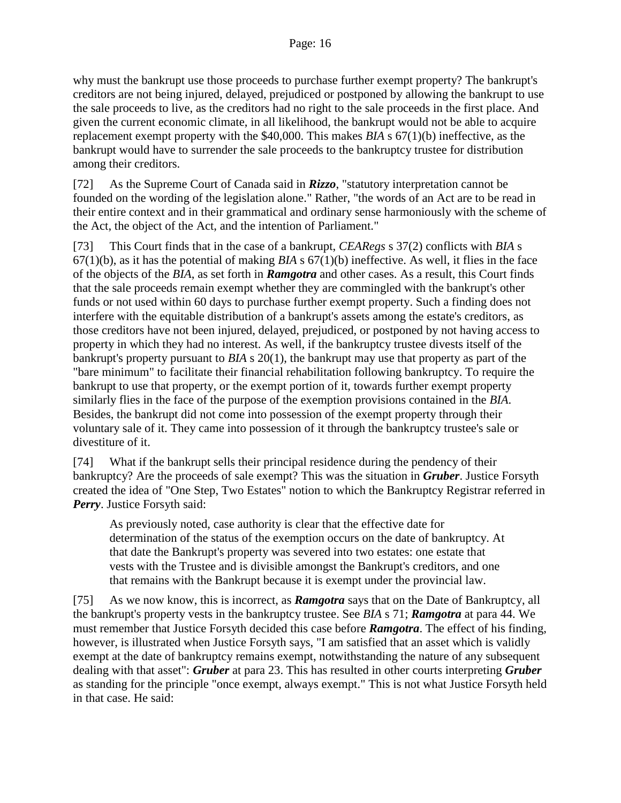why must the bankrupt use those proceeds to purchase further exempt property? The bankrupt's creditors are not being injured, delayed, prejudiced or postponed by allowing the bankrupt to use the sale proceeds to live, as the creditors had no right to the sale proceeds in the first place. And given the current economic climate, in all likelihood, the bankrupt would not be able to acquire replacement exempt property with the \$40,000. This makes *BIA* s 67(1)(b) ineffective, as the bankrupt would have to surrender the sale proceeds to the bankruptcy trustee for distribution among their creditors.

[72] As the Supreme Court of Canada said in *Rizzo*, "statutory interpretation cannot be founded on the wording of the legislation alone." Rather, "the words of an Act are to be read in their entire context and in their grammatical and ordinary sense harmoniously with the scheme of the Act, the object of the Act, and the intention of Parliament."

[73] This Court finds that in the case of a bankrupt, *CEARegs* s 37(2) conflicts with *BIA* s 67(1)(b), as it has the potential of making *BIA* s 67(1)(b) ineffective. As well, it flies in the face of the objects of the *BIA*, as set forth in *Ramgotra* and other cases. As a result, this Court finds that the sale proceeds remain exempt whether they are commingled with the bankrupt's other funds or not used within 60 days to purchase further exempt property. Such a finding does not interfere with the equitable distribution of a bankrupt's assets among the estate's creditors, as those creditors have not been injured, delayed, prejudiced, or postponed by not having access to property in which they had no interest. As well, if the bankruptcy trustee divests itself of the bankrupt's property pursuant to *BIA* s 20(1), the bankrupt may use that property as part of the "bare minimum" to facilitate their financial rehabilitation following bankruptcy. To require the bankrupt to use that property, or the exempt portion of it, towards further exempt property similarly flies in the face of the purpose of the exemption provisions contained in the *BIA*. Besides, the bankrupt did not come into possession of the exempt property through their voluntary sale of it. They came into possession of it through the bankruptcy trustee's sale or divestiture of it.

[74] What if the bankrupt sells their principal residence during the pendency of their bankruptcy? Are the proceeds of sale exempt? This was the situation in *Gruber*. Justice Forsyth created the idea of "One Step, Two Estates" notion to which the Bankruptcy Registrar referred in *Perry*. Justice Forsyth said:

As previously noted, case authority is clear that the effective date for determination of the status of the exemption occurs on the date of bankruptcy. At that date the Bankrupt's property was severed into two estates: one estate that vests with the Trustee and is divisible amongst the Bankrupt's creditors, and one that remains with the Bankrupt because it is exempt under the provincial law.

[75] As we now know, this is incorrect, as *Ramgotra* says that on the Date of Bankruptcy, all the bankrupt's property vests in the bankruptcy trustee. See *BIA* s 71; *Ramgotra* at para 44. We must remember that Justice Forsyth decided this case before *Ramgotra*. The effect of his finding, however, is illustrated when Justice Forsyth says, "I am satisfied that an asset which is validly exempt at the date of bankruptcy remains exempt, notwithstanding the nature of any subsequent dealing with that asset": *Gruber* at para 23. This has resulted in other courts interpreting *Gruber* as standing for the principle "once exempt, always exempt." This is not what Justice Forsyth held in that case. He said: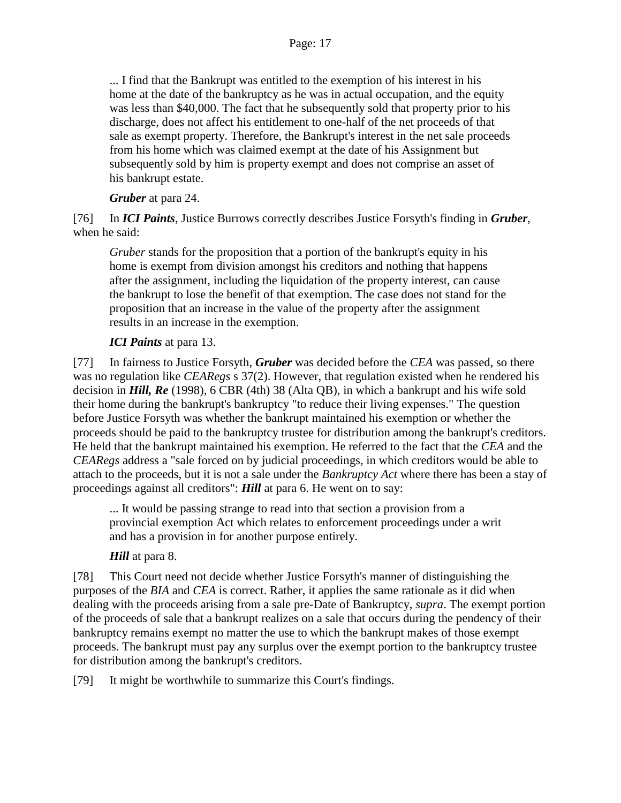#### Page: 17

... I find that the Bankrupt was entitled to the exemption of his interest in his home at the date of the bankruptcy as he was in actual occupation, and the equity was less than \$40,000. The fact that he subsequently sold that property prior to his discharge, does not affect his entitlement to one-half of the net proceeds of that sale as exempt property. Therefore, the Bankrupt's interest in the net sale proceeds from his home which was claimed exempt at the date of his Assignment but subsequently sold by him is property exempt and does not comprise an asset of his bankrupt estate.

*Gruber* at para 24.

[76] In *ICI Paints*, Justice Burrows correctly describes Justice Forsyth's finding in *Gruber*, when he said:

*Gruber* stands for the proposition that a portion of the bankrupt's equity in his home is exempt from division amongst his creditors and nothing that happens after the assignment, including the liquidation of the property interest, can cause the bankrupt to lose the benefit of that exemption. The case does not stand for the proposition that an increase in the value of the property after the assignment results in an increase in the exemption.

## *ICI Paints* at para 13.

[77] In fairness to Justice Forsyth, *Gruber* was decided before the *CEA* was passed, so there was no regulation like *CEARegs* s 37(2). However, that regulation existed when he rendered his decision in *Hill, Re* (1998), 6 CBR (4th) 38 (Alta QB), in which a bankrupt and his wife sold their home during the bankrupt's bankruptcy "to reduce their living expenses." The question before Justice Forsyth was whether the bankrupt maintained his exemption or whether the proceeds should be paid to the bankruptcy trustee for distribution among the bankrupt's creditors. He held that the bankrupt maintained his exemption. He referred to the fact that the *CEA* and the *CEARegs* address a "sale forced on by judicial proceedings, in which creditors would be able to attach to the proceeds, but it is not a sale under the *Bankruptcy Act* where there has been a stay of proceedings against all creditors": *Hill* at para 6. He went on to say:

... It would be passing strange to read into that section a provision from a provincial exemption Act which relates to enforcement proceedings under a writ and has a provision in for another purpose entirely.

## *Hill* at para 8.

[78] This Court need not decide whether Justice Forsyth's manner of distinguishing the purposes of the *BIA* and *CEA* is correct. Rather, it applies the same rationale as it did when dealing with the proceeds arising from a sale pre-Date of Bankruptcy, *supra*. The exempt portion of the proceeds of sale that a bankrupt realizes on a sale that occurs during the pendency of their bankruptcy remains exempt no matter the use to which the bankrupt makes of those exempt proceeds. The bankrupt must pay any surplus over the exempt portion to the bankruptcy trustee for distribution among the bankrupt's creditors.

[79] It might be worthwhile to summarize this Court's findings.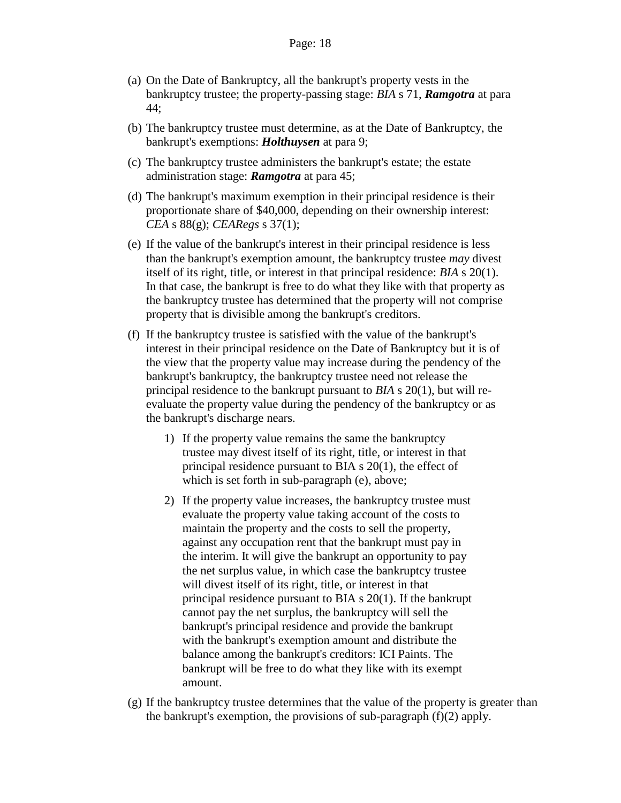- (a) On the Date of Bankruptcy, all the bankrupt's property vests in the bankruptcy trustee; the property-passing stage: *BIA* s 71, *Ramgotra* at para 44;
- (b) The bankruptcy trustee must determine, as at the Date of Bankruptcy, the bankrupt's exemptions: *Holthuysen* at para 9;
- (c) The bankruptcy trustee administers the bankrupt's estate; the estate administration stage: *Ramgotra* at para 45;
- (d) The bankrupt's maximum exemption in their principal residence is their proportionate share of \$40,000, depending on their ownership interest: *CEA* s 88(g); *CEARegs* s 37(1);
- (e) If the value of the bankrupt's interest in their principal residence is less than the bankrupt's exemption amount, the bankruptcy trustee *may* divest itself of its right, title, or interest in that principal residence: *BIA* s 20(1). In that case, the bankrupt is free to do what they like with that property as the bankruptcy trustee has determined that the property will not comprise property that is divisible among the bankrupt's creditors.
- (f) If the bankruptcy trustee is satisfied with the value of the bankrupt's interest in their principal residence on the Date of Bankruptcy but it is of the view that the property value may increase during the pendency of the bankrupt's bankruptcy, the bankruptcy trustee need not release the principal residence to the bankrupt pursuant to *BIA* s 20(1), but will reevaluate the property value during the pendency of the bankruptcy or as the bankrupt's discharge nears.
	- 1) If the property value remains the same the bankruptcy trustee may divest itself of its right, title, or interest in that principal residence pursuant to BIA s 20(1), the effect of which is set forth in sub-paragraph (e), above;
	- 2) If the property value increases, the bankruptcy trustee must evaluate the property value taking account of the costs to maintain the property and the costs to sell the property, against any occupation rent that the bankrupt must pay in the interim. It will give the bankrupt an opportunity to pay the net surplus value, in which case the bankruptcy trustee will divest itself of its right, title, or interest in that principal residence pursuant to BIA s 20(1). If the bankrupt cannot pay the net surplus, the bankruptcy will sell the bankrupt's principal residence and provide the bankrupt with the bankrupt's exemption amount and distribute the balance among the bankrupt's creditors: ICI Paints. The bankrupt will be free to do what they like with its exempt amount.
- (g) If the bankruptcy trustee determines that the value of the property is greater than the bankrupt's exemption, the provisions of sub-paragraph (f)(2) apply.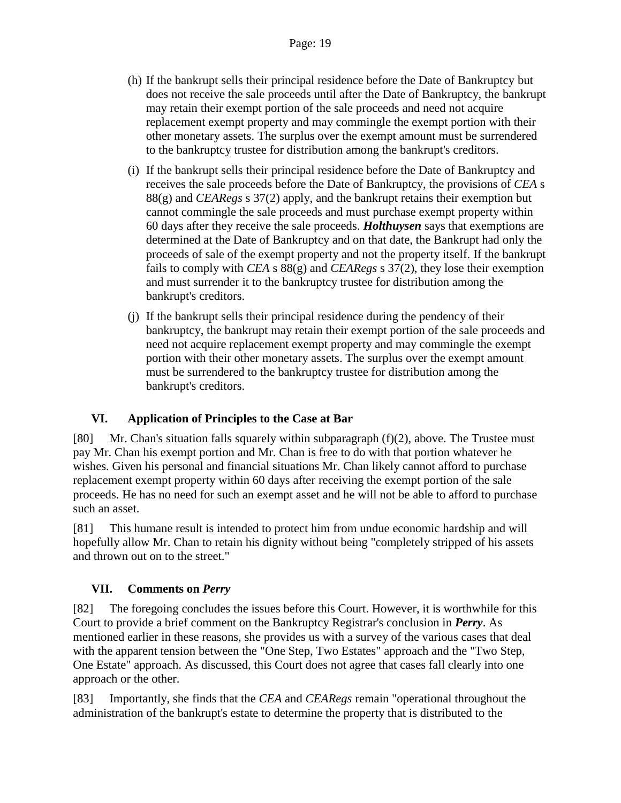- (h) If the bankrupt sells their principal residence before the Date of Bankruptcy but does not receive the sale proceeds until after the Date of Bankruptcy, the bankrupt may retain their exempt portion of the sale proceeds and need not acquire replacement exempt property and may commingle the exempt portion with their other monetary assets. The surplus over the exempt amount must be surrendered to the bankruptcy trustee for distribution among the bankrupt's creditors.
- (i) If the bankrupt sells their principal residence before the Date of Bankruptcy and receives the sale proceeds before the Date of Bankruptcy, the provisions of *CEA* s 88(g) and *CEARegs* s 37(2) apply, and the bankrupt retains their exemption but cannot commingle the sale proceeds and must purchase exempt property within 60 days after they receive the sale proceeds. *Holthuysen* says that exemptions are determined at the Date of Bankruptcy and on that date, the Bankrupt had only the proceeds of sale of the exempt property and not the property itself. If the bankrupt fails to comply with *CEA* s 88(g) and *CEARegs* s 37(2), they lose their exemption and must surrender it to the bankruptcy trustee for distribution among the bankrupt's creditors.
- (j) If the bankrupt sells their principal residence during the pendency of their bankruptcy, the bankrupt may retain their exempt portion of the sale proceeds and need not acquire replacement exempt property and may commingle the exempt portion with their other monetary assets. The surplus over the exempt amount must be surrendered to the bankruptcy trustee for distribution among the bankrupt's creditors.

# **VI. Application of Principles to the Case at Bar**

[80] Mr. Chan's situation falls squarely within subparagraph (f)(2), above. The Trustee must pay Mr. Chan his exempt portion and Mr. Chan is free to do with that portion whatever he wishes. Given his personal and financial situations Mr. Chan likely cannot afford to purchase replacement exempt property within 60 days after receiving the exempt portion of the sale proceeds. He has no need for such an exempt asset and he will not be able to afford to purchase such an asset.

[81] This humane result is intended to protect him from undue economic hardship and will hopefully allow Mr. Chan to retain his dignity without being "completely stripped of his assets and thrown out on to the street."

# **VII. Comments on** *Perry*

[82] The foregoing concludes the issues before this Court. However, it is worthwhile for this Court to provide a brief comment on the Bankruptcy Registrar's conclusion in *Perry*. As mentioned earlier in these reasons, she provides us with a survey of the various cases that deal with the apparent tension between the "One Step, Two Estates" approach and the "Two Step, One Estate" approach. As discussed, this Court does not agree that cases fall clearly into one approach or the other.

[83] Importantly, she finds that the *CEA* and *CEARegs* remain "operational throughout the administration of the bankrupt's estate to determine the property that is distributed to the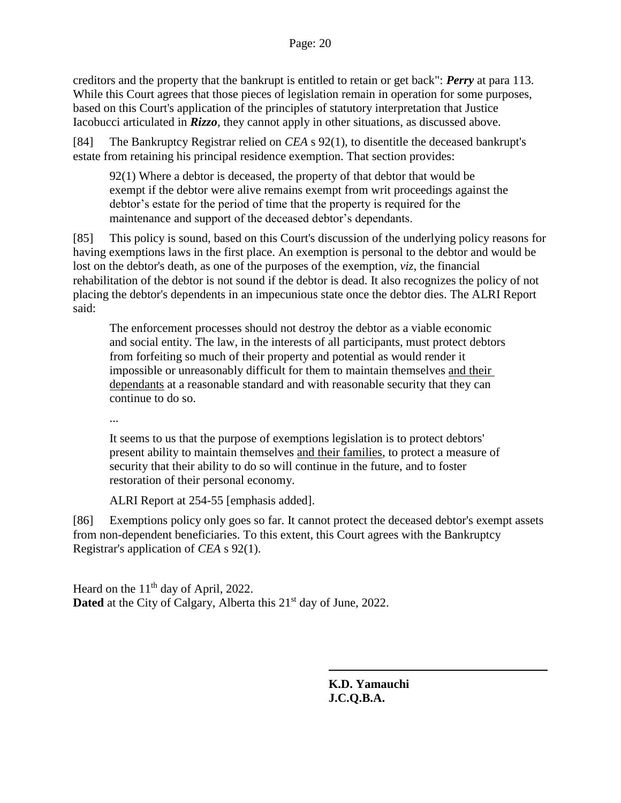creditors and the property that the bankrupt is entitled to retain or get back": *Perry* at para 113. While this Court agrees that those pieces of legislation remain in operation for some purposes, based on this Court's application of the principles of statutory interpretation that Justice Iacobucci articulated in *Rizzo*, they cannot apply in other situations, as discussed above.

[84] The Bankruptcy Registrar relied on *CEA* s 92(1), to disentitle the deceased bankrupt's estate from retaining his principal residence exemption. That section provides:

92(1) Where a debtor is deceased, the property of that debtor that would be exempt if the debtor were alive remains exempt from writ proceedings against the debtor's estate for the period of time that the property is required for the maintenance and support of the deceased debtor's dependants.

[85] This policy is sound, based on this Court's discussion of the underlying policy reasons for having exemptions laws in the first place. An exemption is personal to the debtor and would be lost on the debtor's death, as one of the purposes of the exemption, *viz*, the financial rehabilitation of the debtor is not sound if the debtor is dead. It also recognizes the policy of not placing the debtor's dependents in an impecunious state once the debtor dies. The ALRI Report said:

The enforcement processes should not destroy the debtor as a viable economic and social entity. The law, in the interests of all participants, must protect debtors from forfeiting so much of their property and potential as would render it impossible or unreasonably difficult for them to maintain themselves and their dependants at a reasonable standard and with reasonable security that they can continue to do so.

...

It seems to us that the purpose of exemptions legislation is to protect debtors' present ability to maintain themselves and their families, to protect a measure of security that their ability to do so will continue in the future, and to foster restoration of their personal economy.

ALRI Report at 254-55 [emphasis added].

[86] Exemptions policy only goes so far. It cannot protect the deceased debtor's exempt assets from non-dependent beneficiaries. To this extent, this Court agrees with the Bankruptcy Registrar's application of *CEA* s 92(1).

Heard on the  $11<sup>th</sup>$  day of April, 2022. **Dated** at the City of Calgary, Alberta this 21<sup>st</sup> day of June, 2022.

> **K.D. Yamauchi J.C.Q.B.A.**